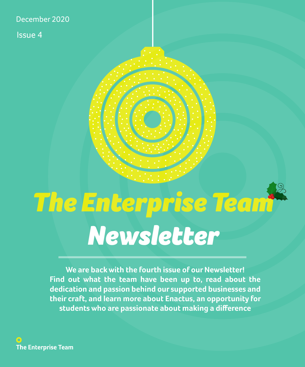#### December 2020

Issue 4

## *The Enterprise Team Newsletter*

**We are back with the fourth issue of our Newsletter! Find out what the team have been up to, read about the dedication and passion behind our supported businesses and their craft, and learn more about Enactus, an opportunity for students who are passionate about making a difference**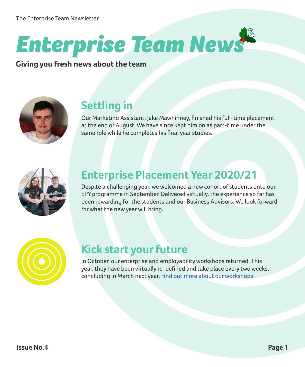## *Enterprise Team News*

**Giving you fresh news about the team**



#### **Settling in**

Our Marketing Assistant; Jake Mawhinney, finished his full-time placement at the end of August. We have since kept him on as part-time under the same role while he completes his final year studies.



#### **Enterprise Placement Year 2020/21**

Despite a challenging year, we welcomed a new cohort of students onto our EPY programme in September. Delivered virtually, the experience so far has been rewarding for the students and our Business Advisors. We look forward for what the new year will bring.



#### **Kick start your future**

In October, our enterprise and employability workshops returned. This year, they have been virtually re-defined and take place every two weeks, concluding in March next year. [Find out more about our workshops](https://students.hud.ac.uk/opportunities/enterprise/workshops/)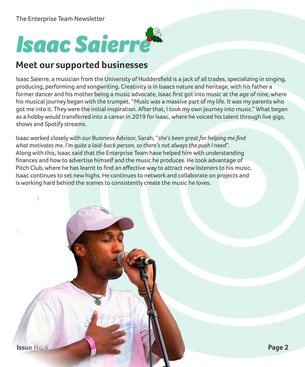## *Isaac Saierre*

#### **Meet our supported businesses**

Isaac Saierre, a musician from the University of Huddersfield is a jack of all trades, specializing in singing, producing, performing and songwriting. Creativity is in Isaacs nature and heritage, with his father a former dancer and his mother being a music advocate, Isaac first got into music at the age of nine, where his musical journey began with the trumpet. "Music was a massive part of my life. It was my parents who got me into it. They were the initial inspiration. After that, I took my own journey into music." What began as a hobby would transferred into a career in 2019 for Isaac, where he voiced his talent through live gigs, shows and Spotify streams.

Isaac worked closely with our Business Advisor, Sarah; "*she's been great for helping me find what motivates me. I'm quite a laid-back person, so there's not always the push I need*". Along with this, Isaac said that the Enterprise Team have helped him with understanding finances and how to advertise himself and the music he produces. He took advantage of Pitch Club, where he has learnt to find an effective way to attract new listeners to his music. Isaac continues to set new highs. He continues to network and collaborate on projects and is working hard behind the scenes to consistently create the music he loves.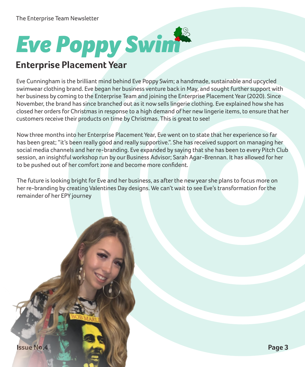# *Eve Poppy Swim*

#### **Enterprise Placement Year**

Eve Cunningham is the brilliant mind behind Eve Poppy Swim; a handmade, sustainable and upcycled swimwear clothing brand. Eve began her business venture back in May, and sought further support with her business by coming to the Enterprise Team and joining the Enterprise Placement Year (2020). Since November, the brand has since branched out as it now sells lingerie clothing. Eve explained how she has closed her orders for Christmas in response to a high demand of her new lingerie items, to ensure that her customers receive their products on time by Christmas. This is great to see!

Now three months into her Enterprise Placement Year, Eve went on to state that her experience so far has been great; "it's been really good and really supportive.". She has received support on managing her social media channels and her re-branding. Eve expanded by saying that she has been to every Pitch Club session, an insightful workshop run by our Business Advisor; Sarah Agar-Brennan. It has allowed for her to be pushed out of her comfort zone and become more confident.

The future is looking bright for Eve and her business, as after the new year she plans to focus more on her re-branding by creating Valentines Day designs. We can't wait to see Eve's transformation for the remainder of her EPY journey

**Issue No.4 Page 3**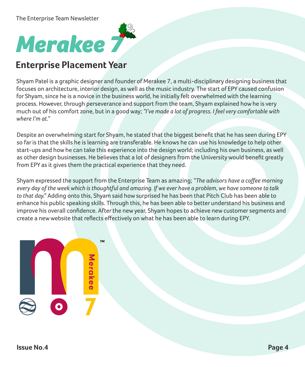

#### **Enterprise Placement Year**

Shyam Patel is a graphic designer and founder of Merakee 7, a multi-disciplinary designing business that focuses on architecture, interior design, as well as the music industry. The start of EPY caused confusion for Shyam, since he is a novice in the business world, he initially felt overwhelmed with the learning process. However, through perseverance and support from the team, Shyam explained how he is very much out of his comfort zone, but in a good way; *"I've made a lot of progress. I feel very comfortable with where I'm at."*

Despite an overwhelming start for Shyam, he stated that the biggest benefit that he has seen during EPY so far is that the skills he is learning are transferable. He knows he can use his knowledge to help other start-ups and how he can take this experience into the design world; including his own business, as well as other design businesses. He believes that a lot of designers from the University would benefit greatly from EPY as it gives them the practical experience that they need.

Shyam expressed the support from the Enterprise Team as amazing; *"The advisors have a coffee morning every day of the week which is thoughtful and amazing. If we ever have a problem, we have someone to talk to that day."* Adding onto this, Shyam said how surprised he has been that Pitch Club has been able to enhance his public speaking skills. Through this, he has been able to better understand his business and improve his overall confidence. After the new year, Shyam hopes to achieve new customer segments and create a new website that reflects effectively on what he has been able to learn during EPY.

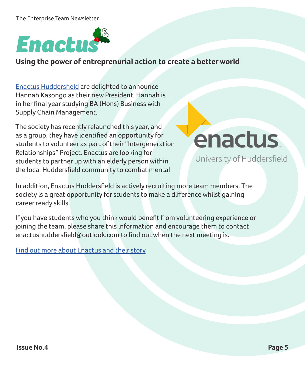#### The Enterprise Team Newsletter



**Using the power of entreprenurial action to create a better world**

[Enactus Huddersfield](https://students.hud.ac.uk/opportunities/enterprise/projects/enactus/) are delighted to announce Hannah Kasongo as their new President. Hannah is in her final year studying BA (Hons) Business with Supply Chain Management.

The society has recently relaunched this year, and as a group, they have identified an opportunity for students to volunteer as part of their "Intergeneration Relationships" Project. Enactus are looking for students to partner up with an elderly person within the local Huddersfield community to combat mental

### enactus

University of Huddersfield

In addition, Enactus Huddersfield is actively recruiting more team members. The society is a great opportunity for students to make a difference whilst gaining career ready skills.

If you have students who you think would benefit from volunteering experience or joining the team, please share this information and encourage them to contact enactushuddersfield@outlook.com to find out when the next meeting is.

[Find out more about Enactus and their story](https://enactus.org/who-we-are/our-story/)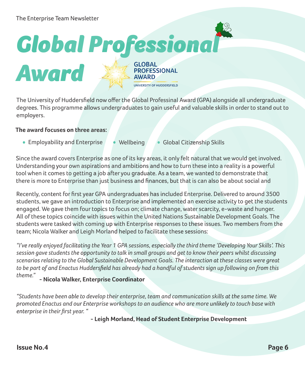## *Global Professional*



**GLOBAL PROFESSIONAL AWARD** 

UNIVERSITY OF HUDDERSFIELD

The University of Huddersfield now offer the Global Professinal Award (GPA) alongside all undergraduate degrees. This programme allows undergraduates to gain useful and valuable skills in order to stand out to employers.

#### **The award focuses on three areas:**

- Employability and Enterprise Wellbeing Global Citizenship Skills
	-
- 

Since the award covers Enterprise as one of its key areas, it only felt natural that we would get involved. Understanding your own aspirations and ambitions and how to turn these into a reality is a powerful tool when it comes to getting a job after you graduate. As a team, we wanted to demonstrate that there is more to Enterprise than just business and finances, but that is can also be about social and

Recently, content for first year GPA undergraduates has included Enterprise. Delivered to around 3500 students, we gave an introduction to Enterprise and implemented an exercise activity to get the students engaged. We gave them four topics to focus on; climate change, water scarcity, e-waste and hunger. All of these topics coincide with issues within the United Nations Sustainable Development Goals. The students were tasked with coming up with Enterprise responses to these issues. Two members from the team; Nicola Walker and Leigh Morland helped to facilitate these sessions:

*"I've really enjoyed facilitating the Year 1 GPA sessions, especially the third theme 'Developing Your Skills'. This session gave students the opportunity to talk in small groups and get to know their peers whilst discussing scenarios relating to the Global Sustainable Development Goals. The interaction at these classes were great to be part of and Enactus Huddersfield has already had a handful of students sign up following on from this theme."* **- Nicola Walker, Enterprise Coordinator**

*"Students have been able to develop their enterprise, team and communication skills at the same time. We promoted Enactus and our Enterprise workshops to an audience who are more unlikely to touch base with enterprise in their first year. "*

**- Leigh Morland, Head of Student Enterprise Development**